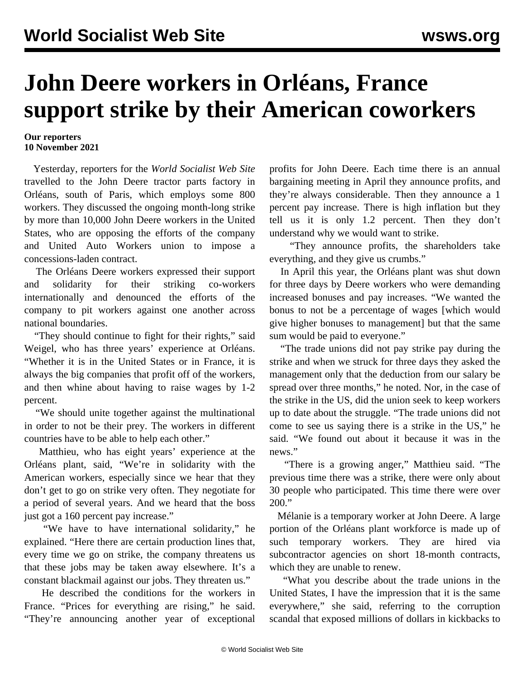## **John Deere workers in Orléans, France support strike by their American coworkers**

## **Our reporters 10 November 2021**

 Yesterday, reporters for the *World Socialist Web Site* travelled to the John Deere tractor parts factory in Orléans, south of Paris, which employs some 800 workers. They discussed the ongoing month-long strike by more than 10,000 John Deere workers in the United States, who are opposing the efforts of the company and United Auto Workers union to impose a concessions-laden contract.

 The Orléans Deere workers expressed their support and solidarity for their striking co-workers internationally and denounced the efforts of the company to pit workers against one another across national boundaries.

 "They should continue to fight for their rights," said Weigel, who has three years' experience at Orléans. "Whether it is in the United States or in France, it is always the big companies that profit off of the workers, and then whine about having to raise wages by 1-2 percent.

 "We should unite together against the multinational in order to not be their prey. The workers in different countries have to be able to help each other."

 Matthieu, who has eight years' experience at the Orléans plant, said, "We're in solidarity with the American workers, especially since we hear that they don't get to go on strike very often. They negotiate for a period of several years. And we heard that the boss just got a 160 percent pay increase."

 "We have to have international solidarity," he explained. "Here there are certain production lines that, every time we go on strike, the company threatens us that these jobs may be taken away elsewhere. It's a constant blackmail against our jobs. They threaten us."

 He described the conditions for the workers in France. "Prices for everything are rising," he said. "They're announcing another year of exceptional profits for John Deere. Each time there is an annual bargaining meeting in April they announce profits, and they're always considerable. Then they announce a 1 percent pay increase. There is high inflation but they tell us it is only 1.2 percent. Then they don't understand why we would want to strike.

 "They announce profits, the shareholders take everything, and they give us crumbs."

 In April this year, the Orléans plant was shut down for three days by Deere workers who were demanding increased bonuses and pay increases. "We wanted the bonus to not be a percentage of wages [which would give higher bonuses to management] but that the same sum would be paid to everyone."

 "The trade unions did not pay strike pay during the strike and when we struck for three days they asked the management only that the deduction from our salary be spread over three months," he noted. Nor, in the case of the strike in the US, did the union seek to keep workers up to date about the struggle. "The trade unions did not come to see us saying there is a strike in the US," he said. "We found out about it because it was in the news."

 "There is a growing anger," Matthieu said. "The previous time there was a strike, there were only about 30 people who participated. This time there were over 200."

 Mélanie is a temporary worker at John Deere. A large portion of the Orléans plant workforce is made up of such temporary workers. They are hired via subcontractor agencies on short 18-month contracts, which they are unable to renew.

 "What you describe about the trade unions in the United States, I have the impression that it is the same everywhere," she said, referring to the corruption scandal that exposed millions of dollars in kickbacks to